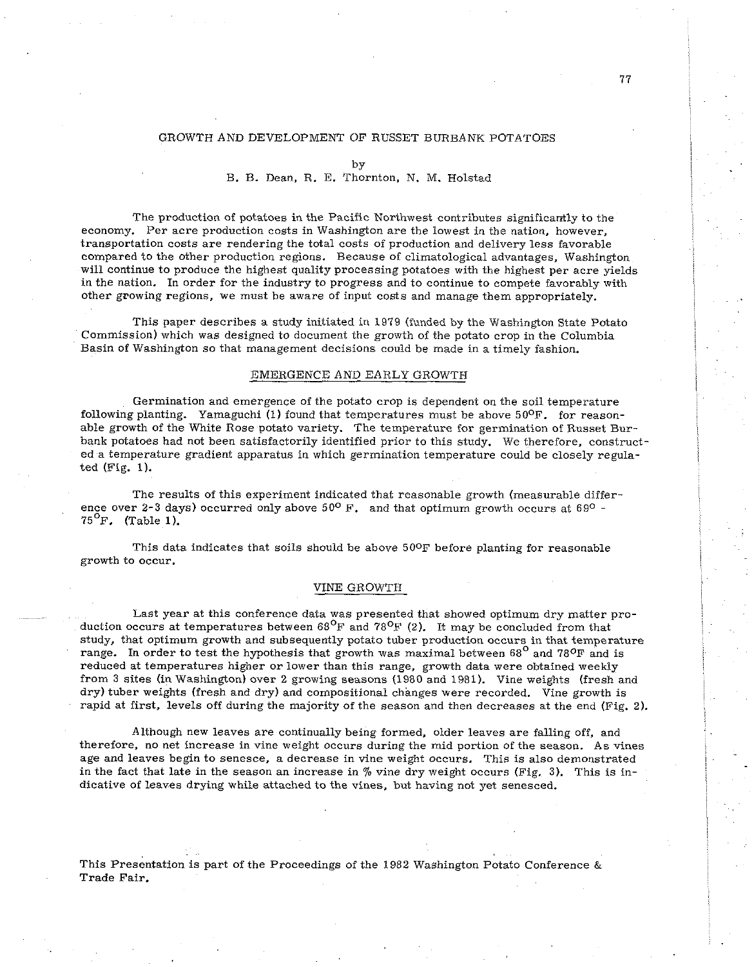# GROWTH AND DEVELOPMENT OF RUSSET BURBANK POTATOES

# B. B. Dean, R. E. Thornton. N. M. Holstad

The production of potatoes in the Pacific Northwest contributes significantly to the economy. Per acre production costs in Washington are the lowest in the nation, however, transportation costs are rendering the total costs of production and delivery less favorable compared to the other production regions. Because of climatological advantages, Washington will continue to produce the highest quality processing potatoes with the highest per acre yields in the nation. In order for the industry to progress and to continue to compete favorably with other growing regions, we must be aware of input costs and manage them appropriately.

This paper describes a study initiated in 1979 (funded by the Washington State Potato Commission) which was designed to document the growth of the potato crop in the Columbia Basin of Washington so that management decisions could be made in a timely fashion.

#### EMERGENCE AND EARLY GROWTH

Germination and emergence of the potato crop is dependent on the soil temperature following planting. Yamaguchi (1) found that temperatures must be above  $50^{\circ}$ F. for reasonable growth of the White Rose potato variety. The temperature for germination of Russet Burbank potatoes had not been satisfactorily identified prior to this study. We therefore, constructed a temperature gradient apparatus in which germination temperature could be closely regulated (Fig. 1).

The results of this experiment indicated that reasonable growth (measurable difference over 2-3 days) occurred only above  $50^{\circ}$  F. and that optimum growth occurs at  $69^{\circ}$  - $75^{\circ}$ F. (Table 1).

This data indicates that soils should be above 500F before planting for reasonable growth to occur.

#### VINE GROWTH

Last year at this conference data was presented that showed optimum dry matter production occurs at temperatures between  $68^{\mathrm{O}}\text{F}$  and  $78^{\mathrm{O}}\text{F}$  (2). It may be concluded from that study, that optimum growth and subsequently potato tuber production occurs in that temperature range. In order to test the hypothesis that growth was maximal between  $68^{\circ}$  and  $78^{\circ}$ F and is reduced at temperatures higher or lower than this range, growth data were obtained weekly from 3 sites (in Washington) over 2 growing seasons (1980 and 1981). Vine weights (fresh and dry) tuber weights (fresh and dry) and compositional changes were recorded. Vine growth is rapid at first, levels off during the majority of the season and then decreases at the end (Fig. 2).

Although new leaves are continually being formed, older leaves are falling off, and therefore, no net increase in vine weight occurs during the mid portion of the season. As vines age and leaves begin to senesce, a decrease in vine weight occurs. This is also demonstrated in the fact that late in the season an increase in % vine dry weight occurs (Fig. 3). This is indicative of leaves drying while attached to the vines, but having not yet senesced.

This Presentation is part of the Proceedings of the 1982 Washington Potato Conference  $\&$ Trade Fair.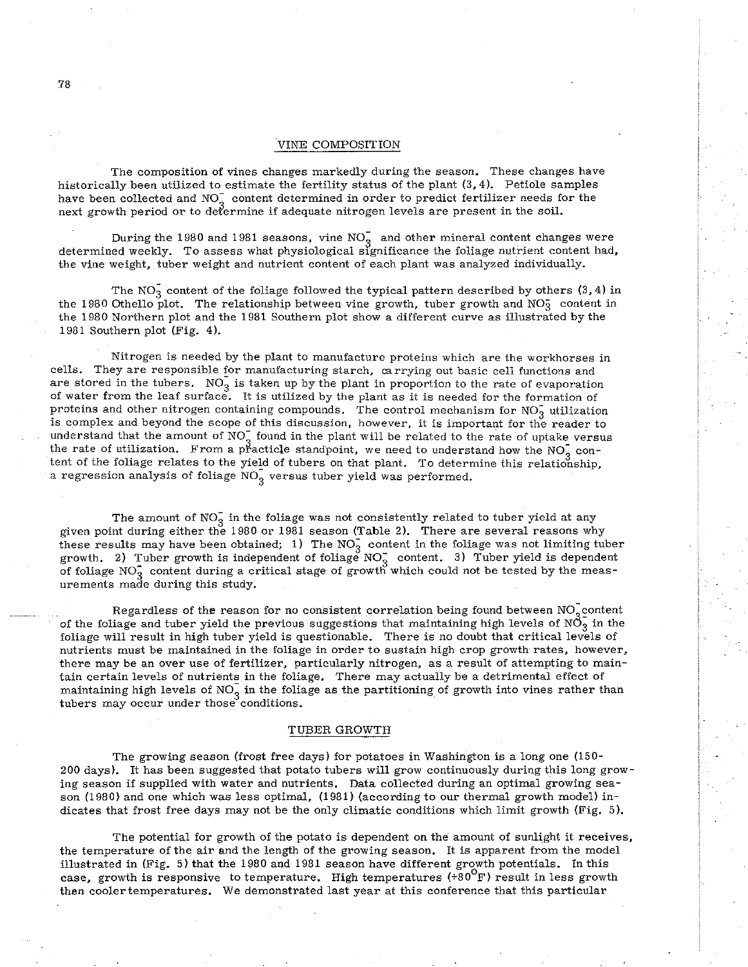#### VINE COMPOSITION

The composition of vines changes markedly during the season. These changes have historically been utilized to estimate the fertility status of the plant (3.4). Petiole samples have been collected and NO<sub>2</sub> content determined in order to predict fertilizer needs for the next growth period or to defermine if adequate nitrogen levels are present in the soil.

During the 1980 and 1981 seasons, vine NO<sub>2</sub> and other mineral content changes were determined weekly. To assess what physiological significance the foliage nutrient content had, the vine weight, tuber weight and nutrient content of each plant was analyzed individually.

The  $NO<sub>3</sub>$  content of the foliage followed the typical pattern described by others (3, 4) in the 1980 Othello plot. The relationship between vine growth, tuber growth and NO<sub>3</sub> content in the 1980 Northern plot and the 1981 Southern plot show a different curve as illustrated by the 1981 Southern plot (Fig. 4).

Nitrogen is needed by the plant to manufacture proteins which are the workhorses in cells. They are responsible for manufacturing starch, carrying out basic cell functions and are stored in the tubers.  $NO<sub>3</sub>$  is taken up by the plant in proportion to the rate of evaporation of water from the leaf surface. It is utilized by the plant as it is needed for the formation of proteins and other nitrogen containing compounds. The control mechanism for  $NO<sub>3</sub>$  utilization is complex and beyond the scope of this discussion, however, it is important for the reader to understand that the amount of NO<sub>3</sub> found in the plant will be related to the rate of uptake versus the rate of utilization. From a practicle standpoint, we need to understand how the NO<sub>3</sub> con-**<sup>3</sup>**tent of the foliage relates to the yield of tuhers on that plant. To determine this relationship, a regression analysis of foliage  $NO_{\alpha}^-$  versus tuber yield was performed.

The amount of  $NO_3^-$  in the foliage was not consistently related to tuber yield at any given point during either the 1980 or 1981 season (Table 2). There are several reasons why these results may have been obtained; 1) The  $NO_3^-$  content in the foliage was not limiting tuber growth. 2) Tuber growth is independent of foliage  $NO_3^-$  content. 3) Tuber yield is dependent of foliage NO<sub>3</sub> content during a critical stage of growth which could not be tested by the measurements made during this study.

Regardless of the reason for no consistent correlation being found between NO<sub>2</sub> content of the foliage and tuber yield the previous suggestions that maintaining high levels of  $N\bar{O}_3^-$  in the foliage will result in high tuher yield is questionable. There is no doubt that critical levels of nutrients must be maintained in the foliage in order to sustain high crop growth rates, however, there may be an over use of fertilizer, particularly nitrogen, as a result of attempting to maintain certain levels of nutrients in the foliage. There may actually be a detrimental effect of maintaining high levels of  $NO_3^-$  in the foliage as the partitioning of growth into vines rather than tubers may occur under those conditions.

## TUBER GROWTH

The growing season (frost free days) for potatoes in Washington is a long one (150- 200 days). It has been suggested that potato tubers will grow continuously during this long growing season if supplied with water and nutrients. Data collected during an optimal growing season (1980) and one which was less optimal, (1981) (according to our thermal growth model) indicates that frost free days may not be the only climatic conditions which limit growth (Fig. 5).

The potential for growth of the potato is dependent on the amount of sunlight it receives, the temperature of the air and the length of the growing season. It is apparent from the model illustrated in (Fig. 5) that the 1980 and 1981 season have different growth potentials. In this case, growth is responsive to temperature. High temperatures  $(+80^{\circ}F)$  result in less growth then coolertemperatures. We demonstrated last year at this conference that this particular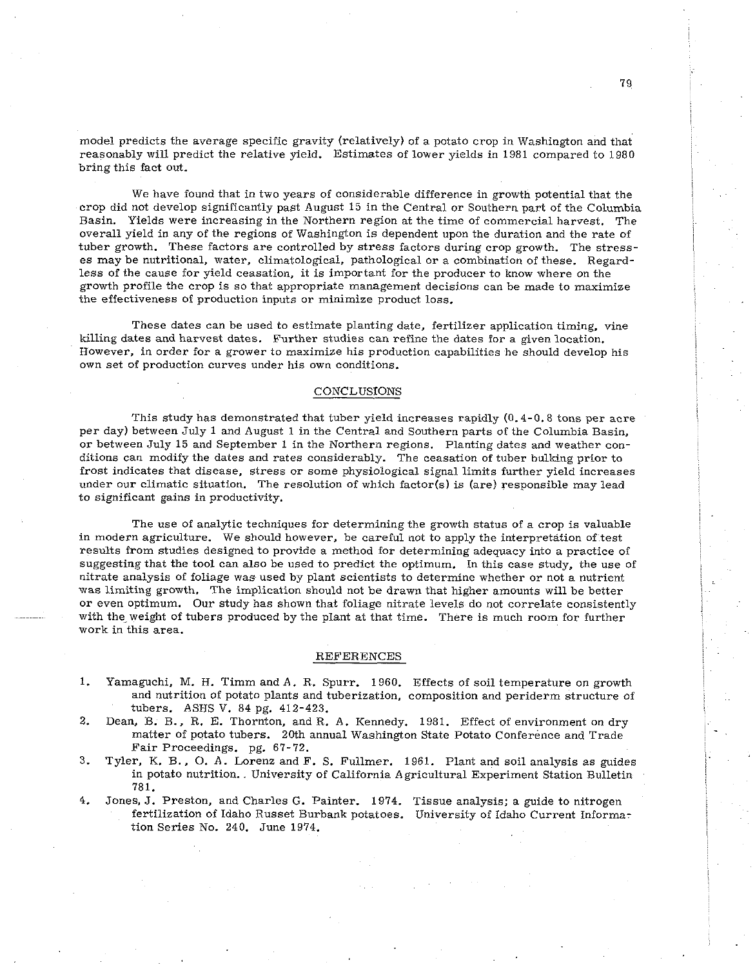model predicts the average specific gravity (relatively) of a potato crop in Washington and that reasonably will predict the relative yield. Estimates of lower yields in 1981 compared to 1980 bring this fact out.

We have found that in two years of considerable difference in growth potential that the crop did not develop significantly past August 15 in the Central or Southern part of the Columbia Basin. Yields were increasing in the Northern region at the time of commercial harvest. The overall yield in any of the regions of Washington is dependent upon the duration and the rate of tuber growth. These factors are controlled by stress factors during crop growth. The stresses may be nutritional, water, climatological, pathological or a combination of these. Regardless of the cause for yield ceasation, it is important for the producer to know where on the growth profile the crop is so that appropriate management decisions can be made to maximize the effectiveness of production inputs or minimize product loss.

These dates can be used to estimate planting date, fertilizer application timing, vine killing dates and harvest dates. Further studies can refine the dates for a given location. However, in order for a grower to maximize his production capabilities he should develop his own set of production curves under his own conditions.

## CONCLUSIONS

This study has demonstrated that tuber yield increases rapidly (0.4-0.8 tons per acre per day) between July 1 and August 1 in the Central and Southern parts of the Columhia Basin, or between July 15 and September 1 in the Northern regions. Planting dates and weather conditions can modify the dates and rates considerably. The ceasation of tuber bulking prior to frost indicates that disease, stress or some physiological signal limits further yield increases under our climatic situation. The resolution of which factor(s) is (are) responsible may lead to significant gains in productivity.

The use of analytic techniques for determining the growth status of a crop is valuable in modern agriculture. We should however, be careful not to apply the interpretation of test results from studies designed to provide a method for determining adequacy into a practice of suggesting that the tool can also be used to predict the optimum. In this case study, the use of nitrate analysis of foliage was used by plant scientists to determine whether or not a nutrient was limiting growth. The implication should not be drawn that higher amounts will be better or even optimum. Our study has shown that foliage nitrate levels do not correlate consistently with the weight of tubers produced by the plant at that time. There is much room for further work in this area.

#### REFERENCES

- 1. Yamaguchi, M. H. Timm and A. R. Spurr. 1960. Effects of soil temperature on growth and nutrition of potato plants and tuberization, composition and periderm structure of tubers. ASHS V. 84 pg. 412-423.
- 2. Dean, B. B.. R. E. Thornton, and R. A. Kennedy. 1981. Effect of environment on dry matter of potato tubers. 20th annual Washington State Potato Conference and Trade Fair Proceedings. pg. 67-72.
- 3. Tyler, K. B.. 0. A. Lorenz and F. S. Fullmer. 1961. Plant and soil analysis as guides in potato nutrition. University of California Agricultural Experiment Station Bulletin 781.
- 4. Jones, J. Preston, and Charles G. Painter. 1974. Tissue analysis; a guide to nitrogen fertilization of Idaho Russet Burbank potatoes. University of Idaho Current Information Series No. 240. June 1974.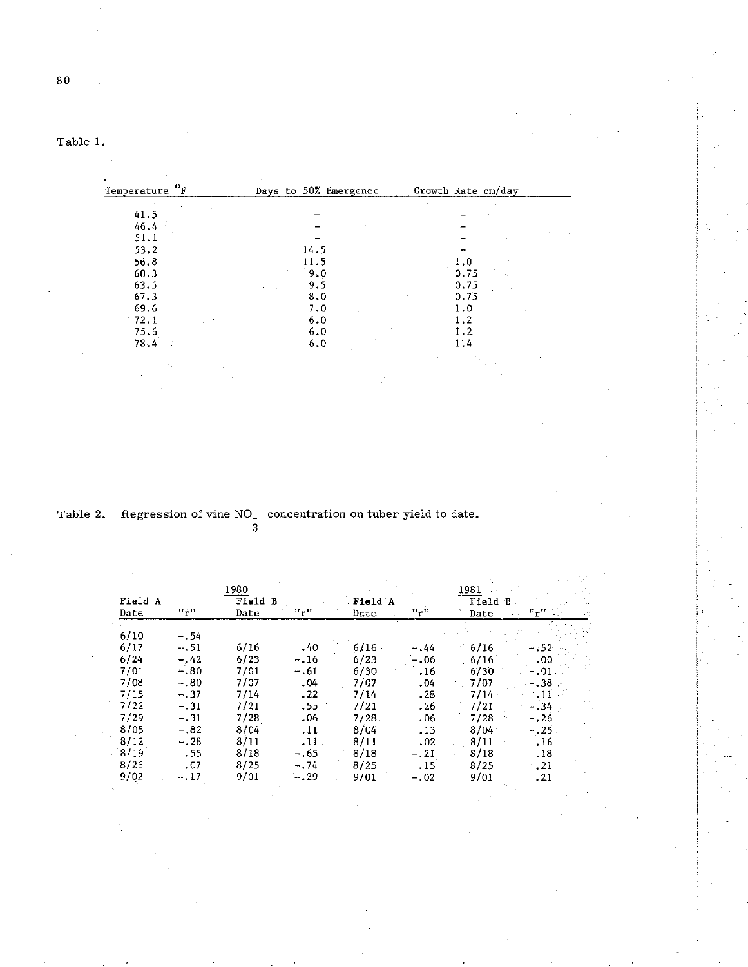|  | ant |  |  |
|--|-----|--|--|
|--|-----|--|--|

| $\mathcal{O}_{\mathbf{F}}$<br>Temperature | Days to 50% Emergence | Growth Rate cm/day |
|-------------------------------------------|-----------------------|--------------------|
|                                           |                       |                    |
| 41.5                                      |                       |                    |
| 46.4                                      |                       |                    |
| 51.1                                      |                       |                    |
| 53.2                                      | 14.5                  |                    |
| 56.8                                      | 11.5                  | 1.0                |
| 60.3                                      | 9.0                   | 0.75               |
| $63.5 -$                                  | 9.5                   | 0.75               |
| 67.3                                      | 8.0                   | 0.75               |
| 69.6                                      | 7.0                   | 1.0                |
| 72.1                                      | 6.0                   | 19                 |
| .75.6                                     | 6.0                   |                    |
| 78.4                                      | 6.0                   | 1.4                |

Table 2. Regression of vine NO<sub>-</sub> concentration on tuber yield to date. **3** 

|         |             | 3       |                             |         |                      |       |         |  |
|---------|-------------|---------|-----------------------------|---------|----------------------|-------|---------|--|
|         |             | 1980    |                             |         |                      | 1981  |         |  |
| Field A |             | Field B |                             | Field A |                      | Field |         |  |
| Date    | النوالا     | Date    | $\mathbf{u}_{\mathbf{r}}$ u | Date    | . it <sub>r</sub> ti | Date  | n_n     |  |
| 6/10    | -.54        |         |                             |         |                      |       |         |  |
| 6/17    | $-.51$      | 6/16    | .40                         | 6/16    | $-0.44$              | 6/16  | $-.52$  |  |
| 6/24    | $-.42$      | 6/23    | $-.16$                      | 6/23    | $-.06$               | 6/16  | .00     |  |
| 7/01    | $-.80$      | 7/01    | $-.61$                      | 6/30    | .16                  | 6/30  | $-.01$  |  |
| 7/08    | $-.80$      | 7/07    | .04                         | 7/07    | .04                  | 7/07  | $-38-$  |  |
| 7/15    | $-.37$      | 7/14    | .22                         | 7/14    | .28                  | 7/14  | $-11$   |  |
| 7/22    | $-.31$      | 7/21    | .55                         | 7/21    | .26                  | 7/21  | $-.34$  |  |
| 7/29    | $-.31$      | 7/28    | .06                         | 7/28    | . 06                 | 7/28  | $-.26$  |  |
| 8/05    | $-.82$      | 8/04    | .11                         | 8/04    | .13                  | 8/04  | $-.25.$ |  |
| 8/12    | $-.28$      | 8/11    | $.11$ .                     | 8/11    | .02                  | 8/11  | . 16    |  |
| 8/19    | .55         | 8/18    | $-.65$                      | 8/18    | $-.21$               | 8/18  | . 18    |  |
| 8/26    | $\cdot$ .07 | 8/25    | $-.74$                      | 8/25    | .15                  | 8/25  | .21     |  |
| 9/02    | $-.17$      | 9/01    | $-.29$                      | 9/01    | $-.02$               | 9/01  | .21     |  |
|         |             |         |                             |         |                      |       |         |  |

 $\mathbf{80}$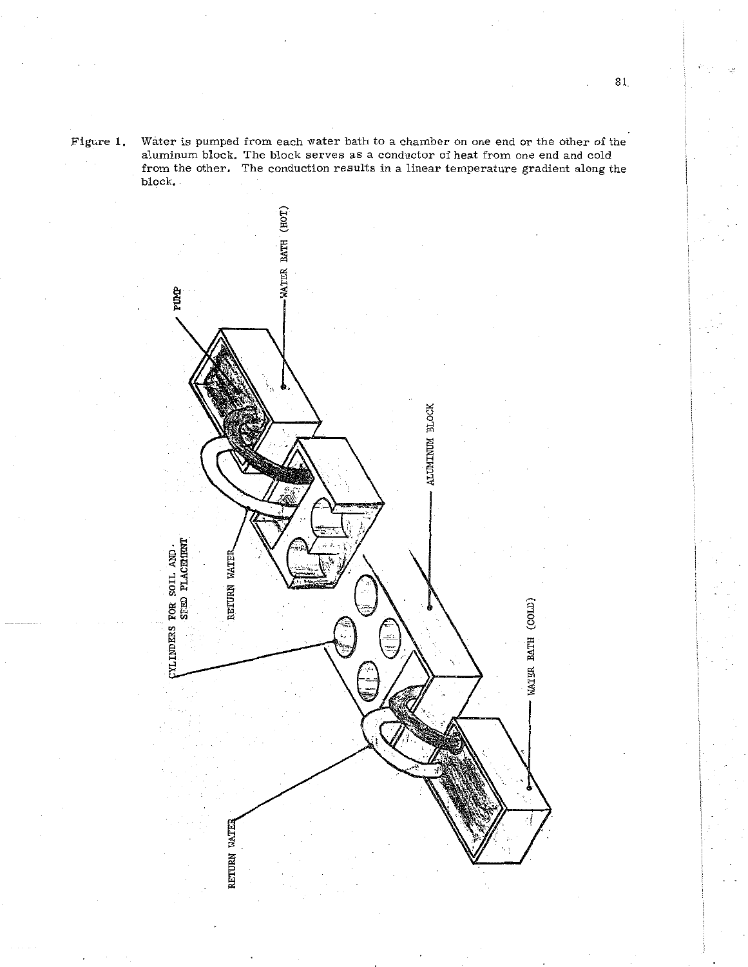Figure **1.** Water is pumped from each water bath to a chamber on one end or the other of the aluminum block. The block serves as a conductor of heat from one end and cold from the other. The conduction results in a linear temperature gradient along the block.



81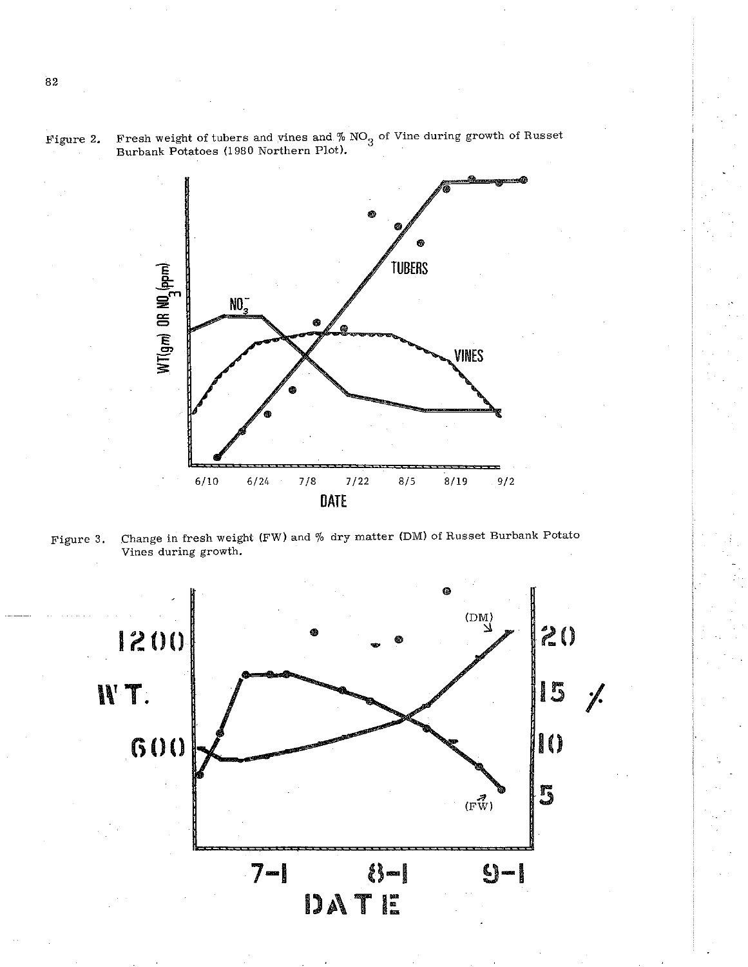



Figure 3. Change in fresh weight (FW) and % dry matter (DM) of Russet Burbank Potato Vines during growth.